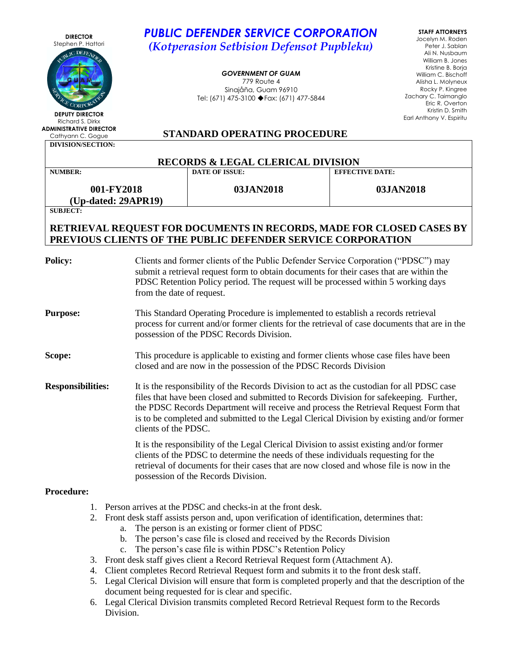| <b>DIRECTOR</b>                                                                                                                                                                                       | <b>PUBLIC DEFENDER SERVICE CORPORATION</b><br><b>STAFF ATTORNEYS</b>                                                                                                            |                                                                                                                                                             |                                          |  |  |
|-------------------------------------------------------------------------------------------------------------------------------------------------------------------------------------------------------|---------------------------------------------------------------------------------------------------------------------------------------------------------------------------------|-------------------------------------------------------------------------------------------------------------------------------------------------------------|------------------------------------------|--|--|
| Stephen P. Hattori<br>IC DEFENT                                                                                                                                                                       |                                                                                                                                                                                 | Jocelyn M. Roden<br>(Kotperasion Setbision Defensot Pupbleku)<br>Peter J. Sablan<br>Ali N. Nusbaum<br>William B. Jones                                      |                                          |  |  |
|                                                                                                                                                                                                       |                                                                                                                                                                                 | <b>GOVERNMENT OF GUAM</b>                                                                                                                                   | Kristine B. Borja<br>William C. Bischoff |  |  |
|                                                                                                                                                                                                       |                                                                                                                                                                                 | 779 Route 4<br>Sinajåña, Guam 96910                                                                                                                         | Alisha L. Molyneux<br>Rocky P. Kingree   |  |  |
|                                                                                                                                                                                                       |                                                                                                                                                                                 | Tel: (671) 475-3100 ♦ Fax: (671) 477-5844                                                                                                                   | Zachary C. Taimanglo<br>Eric R. Overton  |  |  |
| CORPOR<br><b>DEPUTY DIRECTOR</b>                                                                                                                                                                      |                                                                                                                                                                                 |                                                                                                                                                             | Kristin D. Smith                         |  |  |
| Richard S. Dirkx<br><b>ADMINISTRATIVE DIRECTOR</b>                                                                                                                                                    |                                                                                                                                                                                 |                                                                                                                                                             | Earl Anthony V. Espiritu                 |  |  |
| Cathyann C. Gogue<br><b>DIVISION/SECTION:</b>                                                                                                                                                         |                                                                                                                                                                                 | <b>STANDARD OPERATING PROCEDURE</b>                                                                                                                         |                                          |  |  |
|                                                                                                                                                                                                       |                                                                                                                                                                                 | <b>RECORDS &amp; LEGAL CLERICAL DIVISION</b>                                                                                                                |                                          |  |  |
| <b>NUMBER:</b>                                                                                                                                                                                        |                                                                                                                                                                                 | <b>DATE OF ISSUE:</b>                                                                                                                                       | <b>EFFECTIVE DATE:</b>                   |  |  |
| 001-FY2018<br>(Up-dated: 29APR19)                                                                                                                                                                     |                                                                                                                                                                                 | 03JAN2018                                                                                                                                                   | 03JAN2018                                |  |  |
| <b>SUBJECT:</b>                                                                                                                                                                                       |                                                                                                                                                                                 |                                                                                                                                                             |                                          |  |  |
|                                                                                                                                                                                                       |                                                                                                                                                                                 | RETRIEVAL REQUEST FOR DOCUMENTS IN RECORDS, MADE FOR CLOSED CASES BY<br>PREVIOUS CLIENTS OF THE PUBLIC DEFENDER SERVICE CORPORATION                         |                                          |  |  |
|                                                                                                                                                                                                       |                                                                                                                                                                                 |                                                                                                                                                             |                                          |  |  |
| <b>Policy:</b><br>Clients and former clients of the Public Defender Service Corporation ("PDSC") may                                                                                                  |                                                                                                                                                                                 |                                                                                                                                                             |                                          |  |  |
|                                                                                                                                                                                                       |                                                                                                                                                                                 | submit a retrieval request form to obtain documents for their cases that are within the                                                                     |                                          |  |  |
|                                                                                                                                                                                                       | from the date of request.                                                                                                                                                       | PDSC Retention Policy period. The request will be processed within 5 working days                                                                           |                                          |  |  |
|                                                                                                                                                                                                       |                                                                                                                                                                                 |                                                                                                                                                             |                                          |  |  |
| This Standard Operating Procedure is implemented to establish a records retrieval<br><b>Purpose:</b><br>process for current and/or former clients for the retrieval of case documents that are in the |                                                                                                                                                                                 |                                                                                                                                                             |                                          |  |  |
|                                                                                                                                                                                                       |                                                                                                                                                                                 | possession of the PDSC Records Division.                                                                                                                    |                                          |  |  |
|                                                                                                                                                                                                       |                                                                                                                                                                                 |                                                                                                                                                             |                                          |  |  |
| Scope:                                                                                                                                                                                                |                                                                                                                                                                                 | This procedure is applicable to existing and former clients whose case files have been<br>closed and are now in the possession of the PDSC Records Division |                                          |  |  |
|                                                                                                                                                                                                       |                                                                                                                                                                                 |                                                                                                                                                             |                                          |  |  |
| <b>Responsibilities:</b>                                                                                                                                                                              |                                                                                                                                                                                 | It is the responsibility of the Records Division to act as the custodian for all PDSC case                                                                  |                                          |  |  |
|                                                                                                                                                                                                       | files that have been closed and submitted to Records Division for safekeeping. Further,<br>the PDSC Records Department will receive and process the Retrieval Request Form that |                                                                                                                                                             |                                          |  |  |
|                                                                                                                                                                                                       |                                                                                                                                                                                 | is to be completed and submitted to the Legal Clerical Division by existing and/or former                                                                   |                                          |  |  |
|                                                                                                                                                                                                       | clients of the PDSC.                                                                                                                                                            |                                                                                                                                                             |                                          |  |  |
|                                                                                                                                                                                                       |                                                                                                                                                                                 | It is the responsibility of the Legal Clerical Division to assist existing and/or former                                                                    |                                          |  |  |
|                                                                                                                                                                                                       |                                                                                                                                                                                 | clients of the PDSC to determine the needs of these individuals requesting for the                                                                          |                                          |  |  |
|                                                                                                                                                                                                       |                                                                                                                                                                                 | retrieval of documents for their cases that are now closed and whose file is now in the<br>possession of the Records Division.                              |                                          |  |  |
|                                                                                                                                                                                                       |                                                                                                                                                                                 |                                                                                                                                                             |                                          |  |  |
| <b>Procedure:</b>                                                                                                                                                                                     |                                                                                                                                                                                 |                                                                                                                                                             |                                          |  |  |
| 1.                                                                                                                                                                                                    |                                                                                                                                                                                 | Person arrives at the PDSC and checks-in at the front desk.                                                                                                 |                                          |  |  |
| 2.<br>a.                                                                                                                                                                                              |                                                                                                                                                                                 | Front desk staff assists person and, upon verification of identification, determines that:<br>The person is an existing or former client of PDSC            |                                          |  |  |
| b.                                                                                                                                                                                                    |                                                                                                                                                                                 | The person's case file is closed and received by the Records Division                                                                                       |                                          |  |  |
| $\mathbf{c}$ .                                                                                                                                                                                        |                                                                                                                                                                                 | The person's case file is within PDSC's Retention Policy                                                                                                    |                                          |  |  |

- 3. Front desk staff gives client a Record Retrieval Request form (Attachment A).
- 4. Client completes Record Retrieval Request form and submits it to the front desk staff.
- 5. Legal Clerical Division will ensure that form is completed properly and that the description of the document being requested for is clear and specific.
- 6. Legal Clerical Division transmits completed Record Retrieval Request form to the Records Division.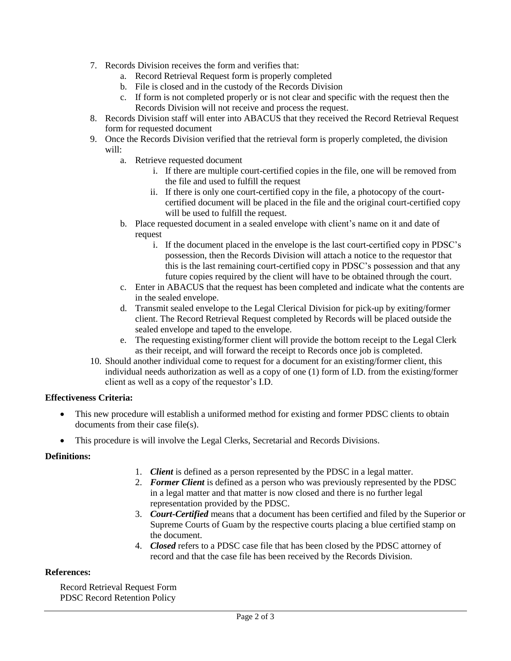- 7. Records Division receives the form and verifies that:
	- a. Record Retrieval Request form is properly completed
	- b. File is closed and in the custody of the Records Division
	- c. If form is not completed properly or is not clear and specific with the request then the Records Division will not receive and process the request.
- 8. Records Division staff will enter into ABACUS that they received the Record Retrieval Request form for requested document
- 9. Once the Records Division verified that the retrieval form is properly completed, the division will:
	- a. Retrieve requested document
		- i. If there are multiple court-certified copies in the file, one will be removed from the file and used to fulfill the request
		- ii. If there is only one court-certified copy in the file, a photocopy of the courtcertified document will be placed in the file and the original court-certified copy will be used to fulfill the request.
	- b. Place requested document in a sealed envelope with client's name on it and date of request
		- i. If the document placed in the envelope is the last court-certified copy in PDSC's possession, then the Records Division will attach a notice to the requestor that this is the last remaining court-certified copy in PDSC's possession and that any future copies required by the client will have to be obtained through the court.
	- c. Enter in ABACUS that the request has been completed and indicate what the contents are in the sealed envelope.
	- d. Transmit sealed envelope to the Legal Clerical Division for pick-up by exiting/former client. The Record Retrieval Request completed by Records will be placed outside the sealed envelope and taped to the envelope.
	- e. The requesting existing/former client will provide the bottom receipt to the Legal Clerk as their receipt, and will forward the receipt to Records once job is completed.
- 10. Should another individual come to request for a document for an existing/former client, this individual needs authorization as well as a copy of one (1) form of I.D. from the existing/former client as well as a copy of the requestor's I.D.

# **Effectiveness Criteria:**

- This new procedure will establish a uniformed method for existing and former PDSC clients to obtain documents from their case file(s).
- This procedure is will involve the Legal Clerks, Secretarial and Records Divisions.

# **Definitions:**

- 1. *Client* is defined as a person represented by the PDSC in a legal matter.
- 2. *Former Client* is defined as a person who was previously represented by the PDSC in a legal matter and that matter is now closed and there is no further legal representation provided by the PDSC.
- 3. *Court-Certified* means that a document has been certified and filed by the Superior or Supreme Courts of Guam by the respective courts placing a blue certified stamp on the document.
- 4. *Closed* refers to a PDSC case file that has been closed by the PDSC attorney of record and that the case file has been received by the Records Division.

# **References:**

Record Retrieval Request Form PDSC Record Retention Policy